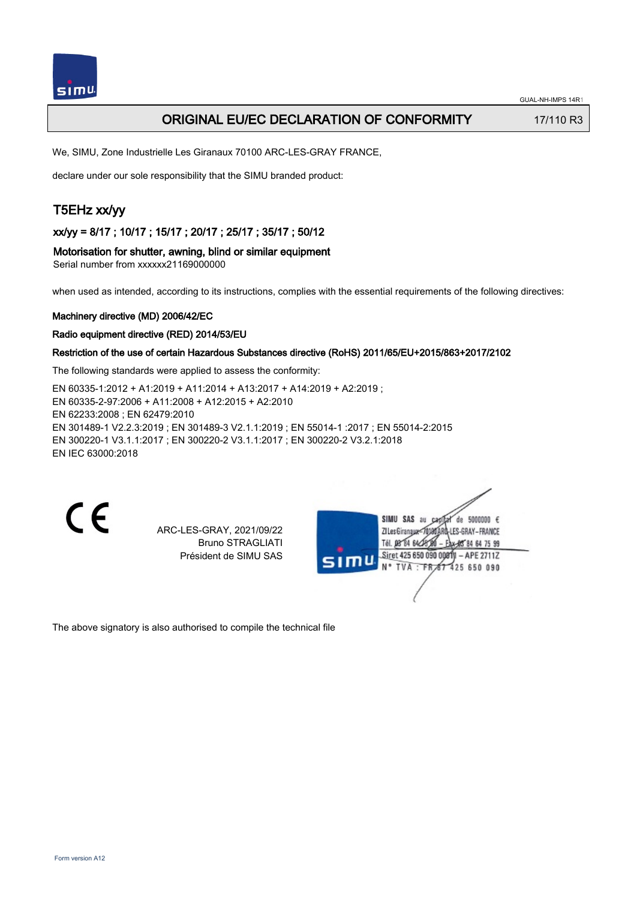# ORIGINAL EU/EC DECLARATION OF CONFORMITY 17/110 R3

We, SIMU, Zone Industrielle Les Giranaux 70100 ARC-LES-GRAY FRANCE,

declare under our sole responsibility that the SIMU branded product:

# T5EHz xx/yy

xx/yy = 8/17 ; 10/17 ; 15/17 ; 20/17 ; 25/17 ; 35/17 ; 50/12

#### Motorisation for shutter, awning, blind or similar equipment

Serial number from xxxxxx21169000000

when used as intended, according to its instructions, complies with the essential requirements of the following directives:

#### Machinery directive (MD) 2006/42/EC

Radio equipment directive (RED) 2014/53/EU

#### Restriction of the use of certain Hazardous Substances directive (RoHS) 2011/65/EU+2015/863+2017/2102

The following standards were applied to assess the conformity:

EN 60335‑1:2012 + A1:2019 + A11:2014 + A13:2017 + A14:2019 + A2:2019 ; EN 60335‑2‑97:2006 + A11:2008 + A12:2015 + A2:2010 EN 62233:2008 ; EN 62479:2010 EN 301489‑1 V2.2.3:2019 ; EN 301489‑3 V2.1.1:2019 ; EN 55014‑1 :2017 ; EN 55014‑2:2015 EN 300220‑1 V3.1.1:2017 ; EN 300220‑2 V3.1.1:2017 ; EN 300220‑2 V3.2.1:2018 EN IEC 63000:2018

 $\epsilon$ 

ARC-LES-GRAY, 2021/09/22 Bruno STRAGLIATI Président de SIMU SAS

de 5000000  $\epsilon$ **ZILesGiranaua** ES-GRAY-FRANCE TÁL DR' RA 64/27 RÓ 85 84 64 75 99 Siret 425 650 090 00811 - APE 2711Z FR 67 425 650 090 TVA

The above signatory is also authorised to compile the technical file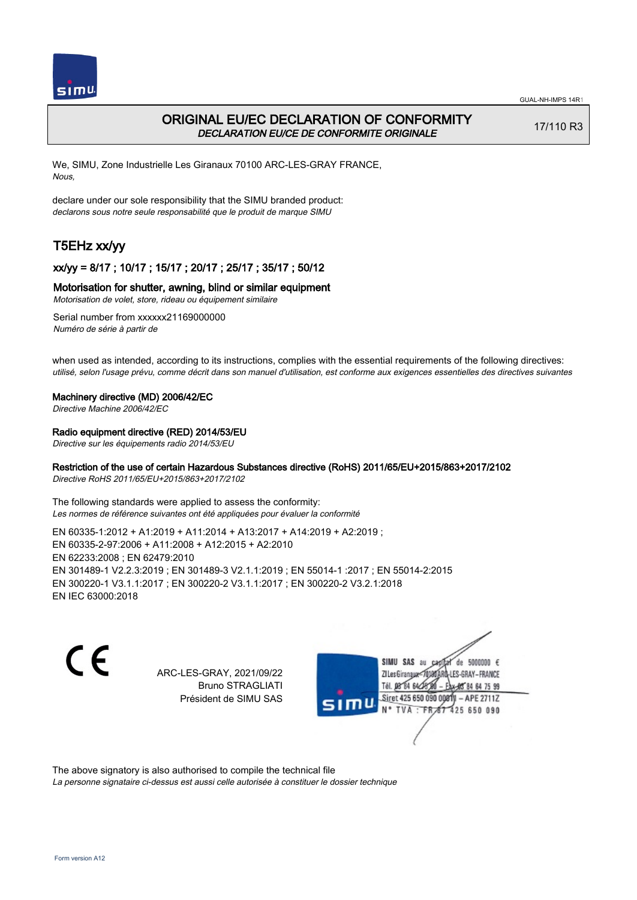

# ORIGINAL EU/EC DECLARATION OF CONFORMITY DECLARATION EU/CE DE CONFORMITE ORIGINALE

17/110 R3

We, SIMU, Zone Industrielle Les Giranaux 70100 ARC-LES-GRAY FRANCE, Nous,

declare under our sole responsibility that the SIMU branded product: declarons sous notre seule responsabilité que le produit de marque SIMU

# T5EHz xx/yy

## xx/yy = 8/17 ; 10/17 ; 15/17 ; 20/17 ; 25/17 ; 35/17 ; 50/12

### Motorisation for shutter, awning, blind or similar equipment

Motorisation de volet, store, rideau ou équipement similaire

Serial number from xxxxxx21169000000 Numéro de série à partir de

when used as intended, according to its instructions, complies with the essential requirements of the following directives: utilisé, selon l'usage prévu, comme décrit dans son manuel d'utilisation, est conforme aux exigences essentielles des directives suivantes

#### Machinery directive (MD) 2006/42/EC

Directive Machine 2006/42/EC

## Radio equipment directive (RED) 2014/53/EU

Directive sur les équipements radio 2014/53/EU

## Restriction of the use of certain Hazardous Substances directive (RoHS) 2011/65/EU+2015/863+2017/2102

Directive RoHS 2011/65/EU+2015/863+2017/2102

The following standards were applied to assess the conformity: Les normes de référence suivantes ont été appliquées pour évaluer la conformité

EN 60335‑1:2012 + A1:2019 + A11:2014 + A13:2017 + A14:2019 + A2:2019 ; EN 60335‑2‑97:2006 + A11:2008 + A12:2015 + A2:2010 EN 62233:2008 ; EN 62479:2010 EN 301489‑1 V2.2.3:2019 ; EN 301489‑3 V2.1.1:2019 ; EN 55014‑1 :2017 ; EN 55014‑2:2015 EN 300220‑1 V3.1.1:2017 ; EN 300220‑2 V3.1.1:2017 ; EN 300220‑2 V3.2.1:2018 EN IEC 63000:2018

 $\epsilon$ 

ARC-LES-GRAY, 2021/09/22 Bruno STRAGLIATI Président de SIMU SAS



The above signatory is also authorised to compile the technical file

La personne signataire ci-dessus est aussi celle autorisée à constituer le dossier technique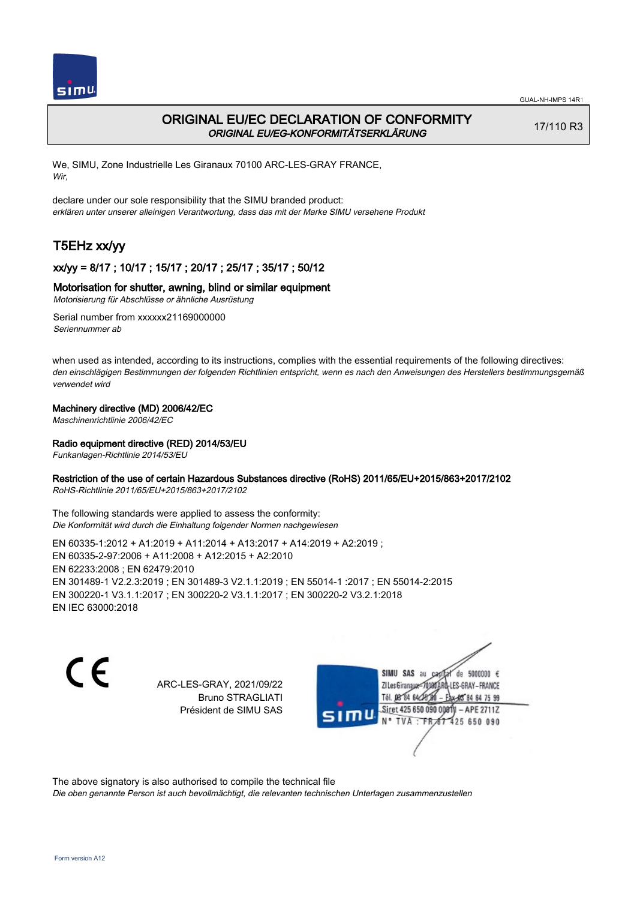

# ORIGINAL EU/EC DECLARATION OF CONFORMITY ORIGINAL EU/EG-KONFORMITÄTSERKLÄRUNG

17/110 R3

We, SIMU, Zone Industrielle Les Giranaux 70100 ARC-LES-GRAY FRANCE, Wir,

declare under our sole responsibility that the SIMU branded product: erklären unter unserer alleinigen Verantwortung, dass das mit der Marke SIMU versehene Produkt

# T5EHz xx/yy

## xx/yy = 8/17 ; 10/17 ; 15/17 ; 20/17 ; 25/17 ; 35/17 ; 50/12

## Motorisation for shutter, awning, blind or similar equipment

Motorisierung für Abschlüsse or ähnliche Ausrüstung

Serial number from xxxxxx21169000000 Seriennummer ab

when used as intended, according to its instructions, complies with the essential requirements of the following directives: den einschlägigen Bestimmungen der folgenden Richtlinien entspricht, wenn es nach den Anweisungen des Herstellers bestimmungsgemäß verwendet wird

## Machinery directive (MD) 2006/42/EC

Maschinenrichtlinie 2006/42/EC

## Radio equipment directive (RED) 2014/53/EU

Funkanlagen-Richtlinie 2014/53/EU

### Restriction of the use of certain Hazardous Substances directive (RoHS) 2011/65/EU+2015/863+2017/2102

RoHS-Richtlinie 2011/65/EU+2015/863+2017/2102

The following standards were applied to assess the conformity: Die Konformität wird durch die Einhaltung folgender Normen nachgewiesen

EN 60335‑1:2012 + A1:2019 + A11:2014 + A13:2017 + A14:2019 + A2:2019 ; EN 60335‑2‑97:2006 + A11:2008 + A12:2015 + A2:2010 EN 62233:2008 ; EN 62479:2010 EN 301489‑1 V2.2.3:2019 ; EN 301489‑3 V2.1.1:2019 ; EN 55014‑1 :2017 ; EN 55014‑2:2015 EN 300220‑1 V3.1.1:2017 ; EN 300220‑2 V3.1.1:2017 ; EN 300220‑2 V3.2.1:2018 EN IEC 63000:2018

C E

ARC-LES-GRAY, 2021/09/22 Bruno STRAGLIATI Président de SIMU SAS

SIMU SAS au de 5000000  $\epsilon$ ZI Les Giranaux-70180 LES-GRAY-FRANCE Tél. 08 84 64 24 64 75 99 Siret 425 650 090 008TV - APE 2711Z 425 650 090 **TVA:FR** 

The above signatory is also authorised to compile the technical file

Die oben genannte Person ist auch bevollmächtigt, die relevanten technischen Unterlagen zusammenzustellen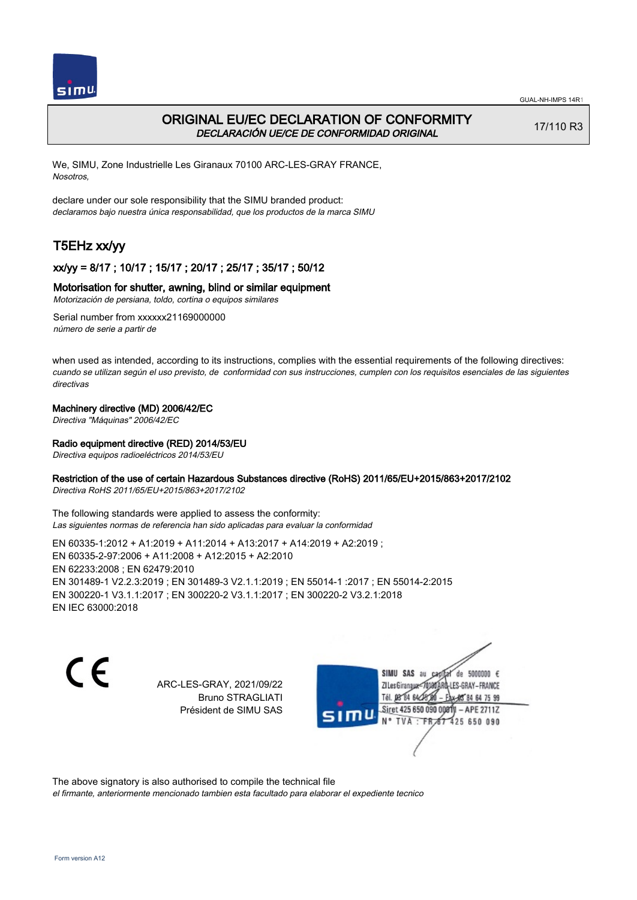

# ORIGINAL EU/EC DECLARATION OF CONFORMITY DECLARACIÓN UE/CE DE CONFORMIDAD ORIGINAL

17/110 R3

We, SIMU, Zone Industrielle Les Giranaux 70100 ARC-LES-GRAY FRANCE, Nosotros,

declare under our sole responsibility that the SIMU branded product: declaramos bajo nuestra única responsabilidad, que los productos de la marca SIMU

# T5EHz xx/yy

## xx/yy = 8/17 ; 10/17 ; 15/17 ; 20/17 ; 25/17 ; 35/17 ; 50/12

### Motorisation for shutter, awning, blind or similar equipment

Motorización de persiana, toldo, cortina o equipos similares

Serial number from xxxxxx21169000000 número de serie a partir de

when used as intended, according to its instructions, complies with the essential requirements of the following directives: cuando se utilizan según el uso previsto, de conformidad con sus instrucciones, cumplen con los requisitos esenciales de las siguientes directivas

### Machinery directive (MD) 2006/42/EC

Directiva "Máquinas" 2006/42/EC

### Radio equipment directive (RED) 2014/53/EU

Directiva equipos radioeléctricos 2014/53/EU

### Restriction of the use of certain Hazardous Substances directive (RoHS) 2011/65/EU+2015/863+2017/2102

Directiva RoHS 2011/65/EU+2015/863+2017/2102

The following standards were applied to assess the conformity: Las siguientes normas de referencia han sido aplicadas para evaluar la conformidad

EN 60335‑1:2012 + A1:2019 + A11:2014 + A13:2017 + A14:2019 + A2:2019 ; EN 60335‑2‑97:2006 + A11:2008 + A12:2015 + A2:2010 EN 62233:2008 ; EN 62479:2010 EN 301489‑1 V2.2.3:2019 ; EN 301489‑3 V2.1.1:2019 ; EN 55014‑1 :2017 ; EN 55014‑2:2015 EN 300220‑1 V3.1.1:2017 ; EN 300220‑2 V3.1.1:2017 ; EN 300220‑2 V3.2.1:2018 EN IEC 63000:2018

C E

ARC-LES-GRAY, 2021/09/22 Bruno STRAGLIATI Président de SIMU SAS

SIMU SAS au de 5000000  $\epsilon$ ZI Les Girangux 10180 LES-GRAY-FRANCE Tél. 08 84 64 24 64 75 99 Siret 425 650 090 008TV - APE 2711Z 425 650 090 TVA: FR

The above signatory is also authorised to compile the technical file

el firmante, anteriormente mencionado tambien esta facultado para elaborar el expediente tecnico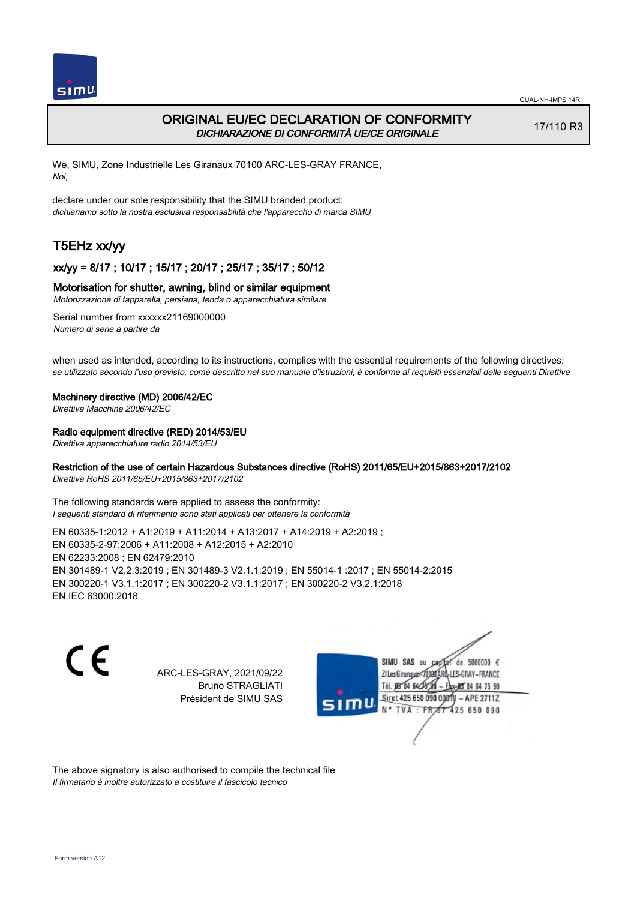

# ORIGINAL EU/EC DECLARATION OF CONFORMITY DICHIARAZIONE DI CONFORMITÀ UE/CE ORIGINALE

17/110 R3

We, SIMU, Zone Industrielle Les Giranaux 70100 ARC-LES-GRAY FRANCE, Noi,

declare under our sole responsibility that the SIMU branded product: dichiariamo sotto la nostra esclusiva responsabilità che l'appareccho di marca SIMU

# T5EHz xx/yy

### xx/yy = 8/17 ; 10/17 ; 15/17 ; 20/17 ; 25/17 ; 35/17 ; 50/12

#### Motorisation for shutter, awning, blind or similar equipment

Motorizzazione di tapparella, persiana, tenda o apparecchiatura similare

Serial number from xxxxxx21169000000 Numero di serie a partire da

when used as intended, according to its instructions, complies with the essential requirements of the following directives: se utilizzato secondo l'uso previsto, come descritto nel suo manuale d'istruzioni, è conforme ai requisiti essenziali delle seguenti Direttive

#### Machinery directive (MD) 2006/42/EC

Direttiva Macchine 2006/42/EC

#### Radio equipment directive (RED) 2014/53/EU

Direttiva apparecchiature radio 2014/53/EU

## Restriction of the use of certain Hazardous Substances directive (RoHS) 2011/65/EU+2015/863+2017/2102

Direttiva RoHS 2011/65/EU+2015/863+2017/2102

The following standards were applied to assess the conformity: I seguenti standard di riferimento sono stati applicati per ottenere la conformità

EN 60335‑1:2012 + A1:2019 + A11:2014 + A13:2017 + A14:2019 + A2:2019 ; EN 60335‑2‑97:2006 + A11:2008 + A12:2015 + A2:2010 EN 62233:2008 ; EN 62479:2010 EN 301489‑1 V2.2.3:2019 ; EN 301489‑3 V2.1.1:2019 ; EN 55014‑1 :2017 ; EN 55014‑2:2015 EN 300220‑1 V3.1.1:2017 ; EN 300220‑2 V3.1.1:2017 ; EN 300220‑2 V3.2.1:2018 EN IEC 63000:2018

 $\epsilon$ 

ARC-LES-GRAY, 2021/09/22 Bruno STRAGLIATI Président de SIMU SAS



The above signatory is also authorised to compile the technical file Il firmatario è inoltre autorizzato a costituire il fascicolo tecnico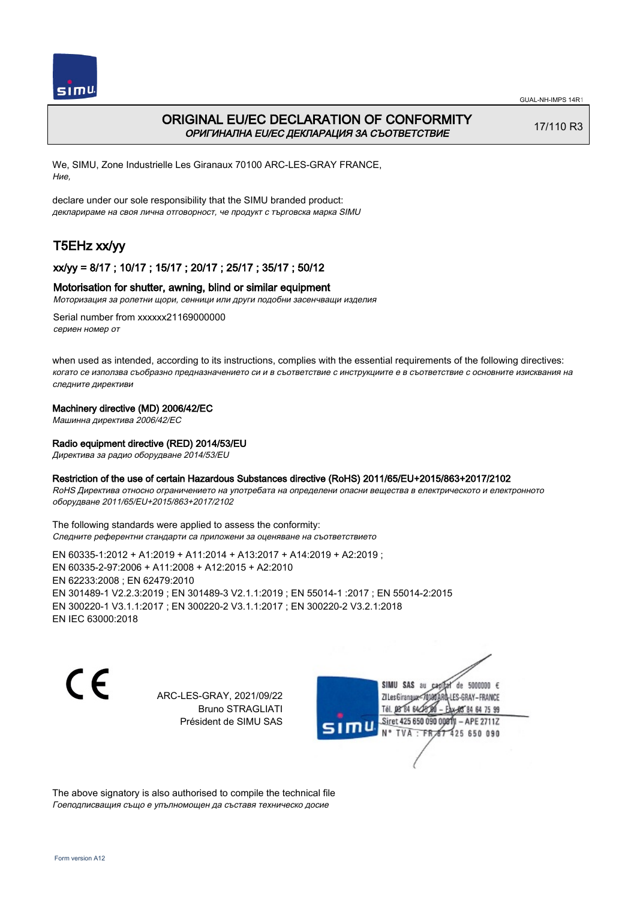

# ORIGINAL EU/EC DECLARATION OF CONFORMITY ОРИГИНАЛНА EU/EC ДЕКЛАРАЦИЯ ЗА СЪОТВЕТСТВИЕ

17/110 R3

We, SIMU, Zone Industrielle Les Giranaux 70100 ARC-LES-GRAY FRANCE, Ние,

declare under our sole responsibility that the SIMU branded product: декларираме на своя лична отговорност, че продукт с търговска марка SIMU

# T5EHz xx/yy

## xx/yy = 8/17 ; 10/17 ; 15/17 ; 20/17 ; 25/17 ; 35/17 ; 50/12

#### Motorisation for shutter, awning, blind or similar equipment

Моторизация за ролетни щори, сенници или други подобни засенчващи изделия

Serial number from xxxxxx21169000000 сериен номер от

when used as intended, according to its instructions, complies with the essential requirements of the following directives: когато се използва съобразно предназначението си и в съответствие с инструкциите е в съответствие с основните изисквания на следните директиви

#### Machinery directive (MD) 2006/42/EC

Машинна директива 2006/42/EC

#### Radio equipment directive (RED) 2014/53/EU

Директива за радио оборудване 2014/53/EU

#### Restriction of the use of certain Hazardous Substances directive (RoHS) 2011/65/EU+2015/863+2017/2102

RoHS Директива относно ограничението на употребата на определени опасни вещества в електрическото и електронното оборудване 2011/65/EU+2015/863+2017/2102

The following standards were applied to assess the conformity: Следните референтни стандарти са приложени за оценяване на съответствието

EN 60335‑1:2012 + A1:2019 + A11:2014 + A13:2017 + A14:2019 + A2:2019 ; EN 60335‑2‑97:2006 + A11:2008 + A12:2015 + A2:2010 EN 62233:2008 ; EN 62479:2010 EN 301489‑1 V2.2.3:2019 ; EN 301489‑3 V2.1.1:2019 ; EN 55014‑1 :2017 ; EN 55014‑2:2015 EN 300220‑1 V3.1.1:2017 ; EN 300220‑2 V3.1.1:2017 ; EN 300220‑2 V3.2.1:2018 EN IEC 63000:2018

C E

ARC-LES-GRAY, 2021/09/22 Bruno STRAGLIATI Président de SIMU SAS



The above signatory is also authorised to compile the technical file Гоеподписващия също е упълномощен да съставя техническо досие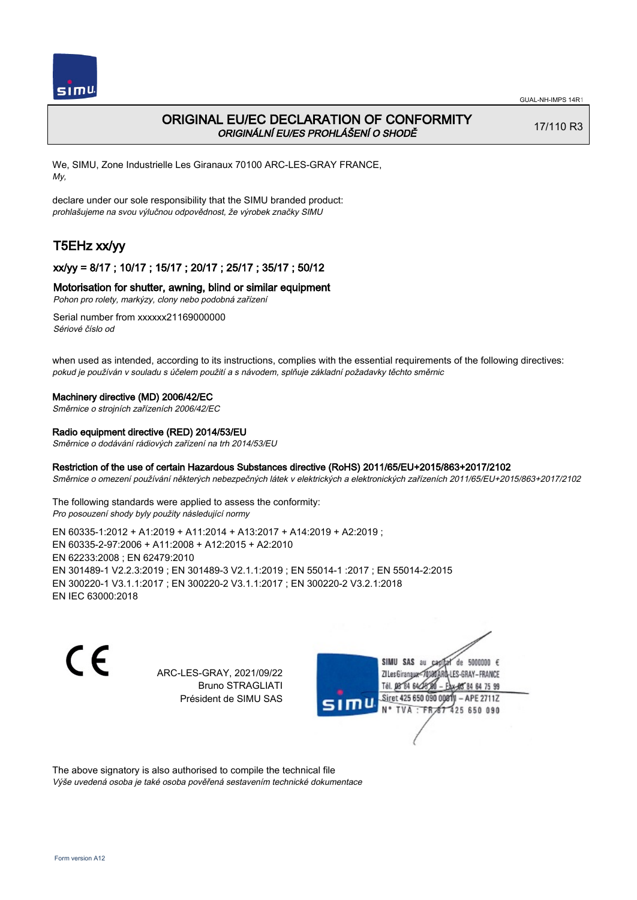

# ORIGINAL EU/EC DECLARATION OF CONFORMITY ORIGINÁLNÍ EU/ES PROHLÁŠENÍ O SHODĚ

17/110 R3

We, SIMU, Zone Industrielle Les Giranaux 70100 ARC-LES-GRAY FRANCE, My,

declare under our sole responsibility that the SIMU branded product: prohlašujeme na svou výlučnou odpovědnost, že výrobek značky SIMU

# T5EHz xx/yy

## xx/yy = 8/17 ; 10/17 ; 15/17 ; 20/17 ; 25/17 ; 35/17 ; 50/12

#### Motorisation for shutter, awning, blind or similar equipment

Pohon pro rolety, markýzy, clony nebo podobná zařízení

Serial number from xxxxxx21169000000 Sériové číslo od

when used as intended, according to its instructions, complies with the essential requirements of the following directives: pokud je používán v souladu s účelem použití a s návodem, splňuje základní požadavky těchto směrnic

#### Machinery directive (MD) 2006/42/EC

Směrnice o strojních zařízeních 2006/42/EC

#### Radio equipment directive (RED) 2014/53/EU

Směrnice o dodávání rádiových zařízení na trh 2014/53/EU

#### Restriction of the use of certain Hazardous Substances directive (RoHS) 2011/65/EU+2015/863+2017/2102

Směrnice o omezení používání některých nebezpečných látek v elektrických a elektronických zařízeních 2011/65/EU+2015/863+2017/2102

The following standards were applied to assess the conformity: Pro posouzení shody byly použity následující normy

EN 60335‑1:2012 + A1:2019 + A11:2014 + A13:2017 + A14:2019 + A2:2019 ; EN 60335‑2‑97:2006 + A11:2008 + A12:2015 + A2:2010 EN 62233:2008 ; EN 62479:2010 EN 301489‑1 V2.2.3:2019 ; EN 301489‑3 V2.1.1:2019 ; EN 55014‑1 :2017 ; EN 55014‑2:2015 EN 300220‑1 V3.1.1:2017 ; EN 300220‑2 V3.1.1:2017 ; EN 300220‑2 V3.2.1:2018 EN IEC 63000:2018

C F

ARC-LES-GRAY, 2021/09/22 Bruno STRAGLIATI Président de SIMU SAS



The above signatory is also authorised to compile the technical file Výše uvedená osoba je také osoba pověřená sestavením technické dokumentace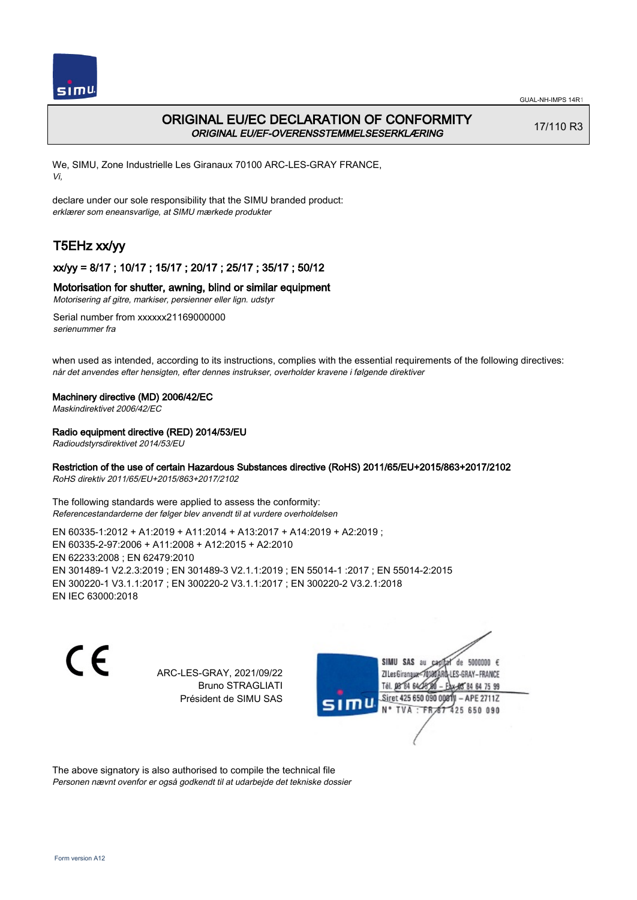

# ORIGINAL EU/EC DECLARATION OF CONFORMITY ORIGINAL EU/EF-OVERENSSTEMMELSESERKLÆRING

17/110 R3

We, SIMU, Zone Industrielle Les Giranaux 70100 ARC-LES-GRAY FRANCE, Vi,

declare under our sole responsibility that the SIMU branded product: erklærer som eneansvarlige, at SIMU mærkede produkter

# T5EHz xx/yy

## xx/yy = 8/17 ; 10/17 ; 15/17 ; 20/17 ; 25/17 ; 35/17 ; 50/12

### Motorisation for shutter, awning, blind or similar equipment

Motorisering af gitre, markiser, persienner eller lign. udstyr

Serial number from xxxxxx21169000000 serienummer fra

when used as intended, according to its instructions, complies with the essential requirements of the following directives: når det anvendes efter hensigten, efter dennes instrukser, overholder kravene i følgende direktiver

### Machinery directive (MD) 2006/42/EC

Maskindirektivet 2006/42/EC

### Radio equipment directive (RED) 2014/53/EU

Radioudstyrsdirektivet 2014/53/EU

## Restriction of the use of certain Hazardous Substances directive (RoHS) 2011/65/EU+2015/863+2017/2102

RoHS direktiv 2011/65/EU+2015/863+2017/2102

The following standards were applied to assess the conformity: Referencestandarderne der følger blev anvendt til at vurdere overholdelsen

EN 60335‑1:2012 + A1:2019 + A11:2014 + A13:2017 + A14:2019 + A2:2019 ; EN 60335‑2‑97:2006 + A11:2008 + A12:2015 + A2:2010 EN 62233:2008 ; EN 62479:2010 EN 301489‑1 V2.2.3:2019 ; EN 301489‑3 V2.1.1:2019 ; EN 55014‑1 :2017 ; EN 55014‑2:2015 EN 300220‑1 V3.1.1:2017 ; EN 300220‑2 V3.1.1:2017 ; EN 300220‑2 V3.2.1:2018 EN IEC 63000:2018

 $\epsilon$ 

ARC-LES-GRAY, 2021/09/22 Bruno STRAGLIATI Président de SIMU SAS



The above signatory is also authorised to compile the technical file Personen nævnt ovenfor er også godkendt til at udarbejde det tekniske dossier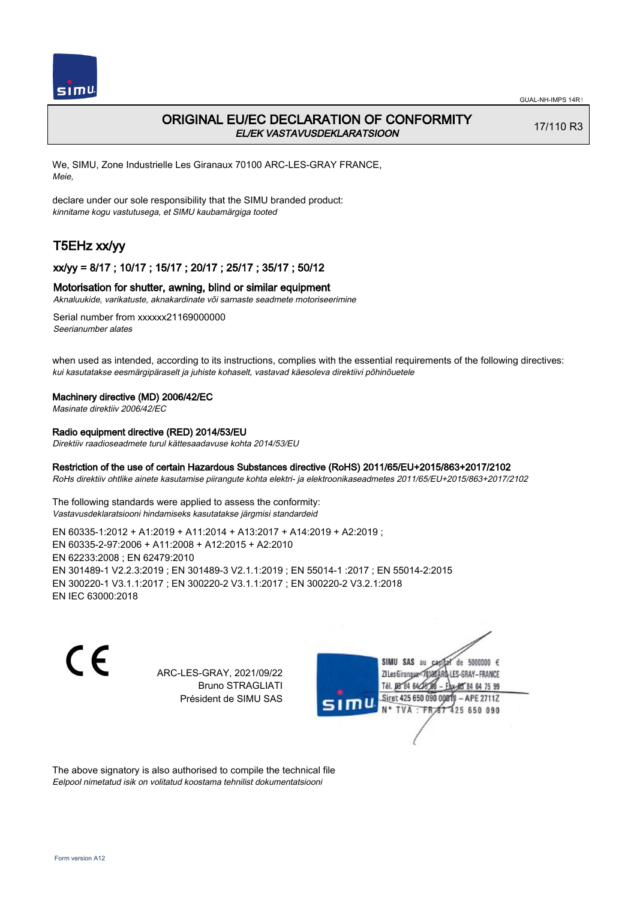

# ORIGINAL EU/EC DECLARATION OF CONFORMITY EL/EK VASTAVUSDEKLARATSIOON

17/110 R3

We, SIMU, Zone Industrielle Les Giranaux 70100 ARC-LES-GRAY FRANCE, Meie,

declare under our sole responsibility that the SIMU branded product: kinnitame kogu vastutusega, et SIMU kaubamärgiga tooted

# T5EHz xx/yy

## xx/yy = 8/17 ; 10/17 ; 15/17 ; 20/17 ; 25/17 ; 35/17 ; 50/12

## Motorisation for shutter, awning, blind or similar equipment

Aknaluukide, varikatuste, aknakardinate või sarnaste seadmete motoriseerimine

Serial number from xxxxxx21169000000 Seerianumber alates

when used as intended, according to its instructions, complies with the essential requirements of the following directives: kui kasutatakse eesmärgipäraselt ja juhiste kohaselt, vastavad käesoleva direktiivi põhinõuetele

#### Machinery directive (MD) 2006/42/EC

Masinate direktiiv 2006/42/EC

## Radio equipment directive (RED) 2014/53/EU

Direktiiv raadioseadmete turul kättesaadavuse kohta 2014/53/EU

### Restriction of the use of certain Hazardous Substances directive (RoHS) 2011/65/EU+2015/863+2017/2102

RoHs direktiiv ohtlike ainete kasutamise piirangute kohta elektri- ja elektroonikaseadmetes 2011/65/EU+2015/863+2017/2102

The following standards were applied to assess the conformity: Vastavusdeklaratsiooni hindamiseks kasutatakse järgmisi standardeid

EN 60335‑1:2012 + A1:2019 + A11:2014 + A13:2017 + A14:2019 + A2:2019 ; EN 60335‑2‑97:2006 + A11:2008 + A12:2015 + A2:2010 EN 62233:2008 ; EN 62479:2010 EN 301489‑1 V2.2.3:2019 ; EN 301489‑3 V2.1.1:2019 ; EN 55014‑1 :2017 ; EN 55014‑2:2015 EN 300220‑1 V3.1.1:2017 ; EN 300220‑2 V3.1.1:2017 ; EN 300220‑2 V3.2.1:2018 EN IEC 63000:2018

 $\epsilon$ 

ARC-LES-GRAY, 2021/09/22 Bruno STRAGLIATI Président de SIMU SAS



The above signatory is also authorised to compile the technical file Eelpool nimetatud isik on volitatud koostama tehnilist dokumentatsiooni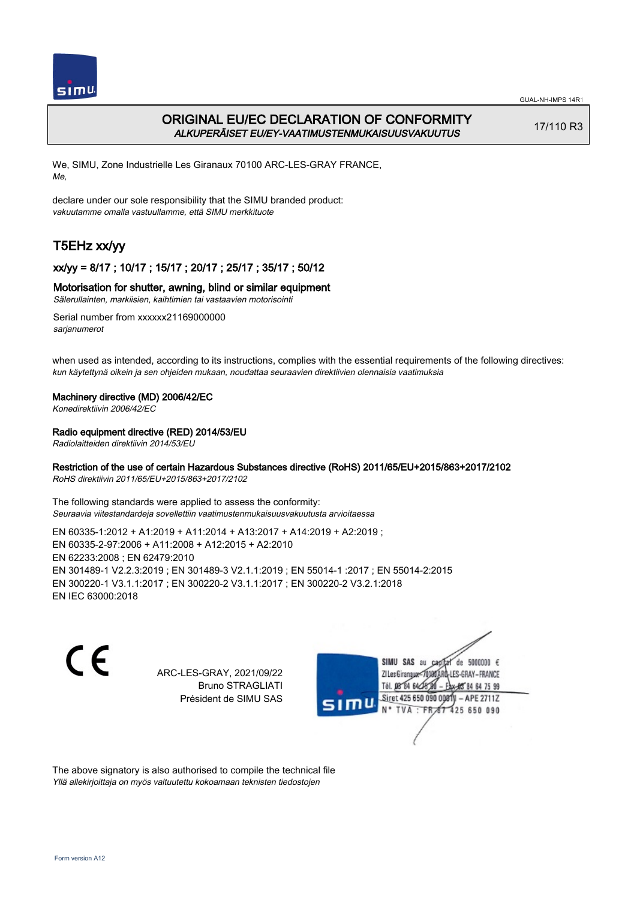

# ORIGINAL EU/EC DECLARATION OF CONFORMITY ALKUPERÄISET EU/EY-VAATIMUSTENMUKAISUUSVAKUUTUS

17/110 R3

We, SIMU, Zone Industrielle Les Giranaux 70100 ARC-LES-GRAY FRANCE, Me,

declare under our sole responsibility that the SIMU branded product: vakuutamme omalla vastuullamme, että SIMU merkkituote

# T5EHz xx/yy

## xx/yy = 8/17 ; 10/17 ; 15/17 ; 20/17 ; 25/17 ; 35/17 ; 50/12

### Motorisation for shutter, awning, blind or similar equipment

Sälerullainten, markiisien, kaihtimien tai vastaavien motorisointi

Serial number from xxxxxx21169000000 sarianumerot

when used as intended, according to its instructions, complies with the essential requirements of the following directives: kun käytettynä oikein ja sen ohjeiden mukaan, noudattaa seuraavien direktiivien olennaisia vaatimuksia

### Machinery directive (MD) 2006/42/EC

Konedirektiivin 2006/42/EC

### Radio equipment directive (RED) 2014/53/EU

Radiolaitteiden direktiivin 2014/53/EU

## Restriction of the use of certain Hazardous Substances directive (RoHS) 2011/65/EU+2015/863+2017/2102

RoHS direktiivin 2011/65/EU+2015/863+2017/2102

The following standards were applied to assess the conformity: Seuraavia viitestandardeja sovellettiin vaatimustenmukaisuusvakuutusta arvioitaessa

EN 60335‑1:2012 + A1:2019 + A11:2014 + A13:2017 + A14:2019 + A2:2019 ; EN 60335‑2‑97:2006 + A11:2008 + A12:2015 + A2:2010 EN 62233:2008 ; EN 62479:2010 EN 301489‑1 V2.2.3:2019 ; EN 301489‑3 V2.1.1:2019 ; EN 55014‑1 :2017 ; EN 55014‑2:2015 EN 300220‑1 V3.1.1:2017 ; EN 300220‑2 V3.1.1:2017 ; EN 300220‑2 V3.2.1:2018 EN IEC 63000:2018

 $\epsilon$ 

ARC-LES-GRAY, 2021/09/22 Bruno STRAGLIATI Président de SIMU SAS



The above signatory is also authorised to compile the technical file Yllä allekirjoittaja on myös valtuutettu kokoamaan teknisten tiedostojen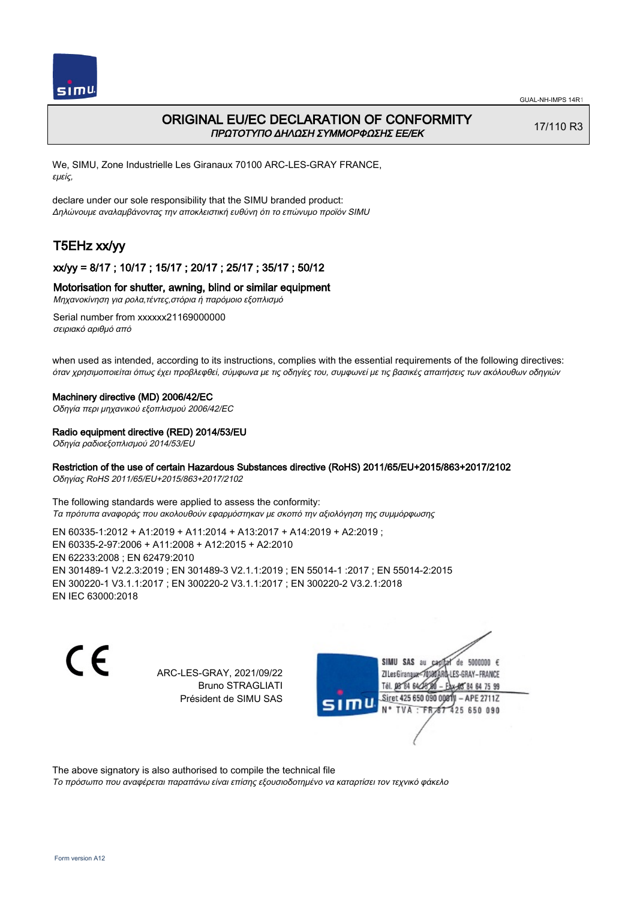

# ORIGINAL EU/EC DECLARATION OF CONFORMITY ΠΡΩΤΟΤΥΠΟ ΔΗΛΩΣΗ ΣΥΜΜΟΡΦΩΣΗΣ ΕΕ/EK

17/110 R3

We, SIMU, Zone Industrielle Les Giranaux 70100 ARC-LES-GRAY FRANCE, εμείς,

declare under our sole responsibility that the SIMU branded product: Δηλώνουμε αναλαμβάνοντας την αποκλειστική ευθύνη ότι το επώνυμο προϊόν SIMU

# T5EHz xx/yy

## xx/yy = 8/17 ; 10/17 ; 15/17 ; 20/17 ; 25/17 ; 35/17 ; 50/12

#### Motorisation for shutter, awning, blind or similar equipment

Μηχανοκίνηση για ρολα,τέντες,στόρια ή παρόμοιο εξοπλισμό

Serial number from xxxxxx21169000000 σειριακό αριθμό από

when used as intended, according to its instructions, complies with the essential requirements of the following directives: όταν χρησιμοποιείται όπως έχει προβλεφθεί, σύμφωνα με τις οδηγίες του, συμφωνεί με τις βασικές απαιτήσεις των ακόλουθων οδηγιών

#### Machinery directive (MD) 2006/42/EC

Οδηγία περι μηχανικού εξοπλισμού 2006/42/EC

#### Radio equipment directive (RED) 2014/53/EU

Οδηγία ραδιοεξοπλισμού 2014/53/EU

#### Restriction of the use of certain Hazardous Substances directive (RoHS) 2011/65/EU+2015/863+2017/2102

Οδηγίας RoHS 2011/65/EU+2015/863+2017/2102

The following standards were applied to assess the conformity: Τα πρότυπα αναφοράς που ακολουθούν εφαρμόστηκαν με σκοπό την αξιολόγηση της συμμόρφωσης

EN 60335‑1:2012 + A1:2019 + A11:2014 + A13:2017 + A14:2019 + A2:2019 ; EN 60335‑2‑97:2006 + A11:2008 + A12:2015 + A2:2010 EN 62233:2008 ; EN 62479:2010 EN 301489‑1 V2.2.3:2019 ; EN 301489‑3 V2.1.1:2019 ; EN 55014‑1 :2017 ; EN 55014‑2:2015 EN 300220‑1 V3.1.1:2017 ; EN 300220‑2 V3.1.1:2017 ; EN 300220‑2 V3.2.1:2018 EN IEC 63000:2018

C F

ARC-LES-GRAY, 2021/09/22 Bruno STRAGLIATI Président de SIMU SAS



The above signatory is also authorised to compile the technical file

Το πρόσωπο που αναφέρεται παραπάνω είναι επίσης εξουσιοδοτημένο να καταρτίσει τον τεχνικό φάκελο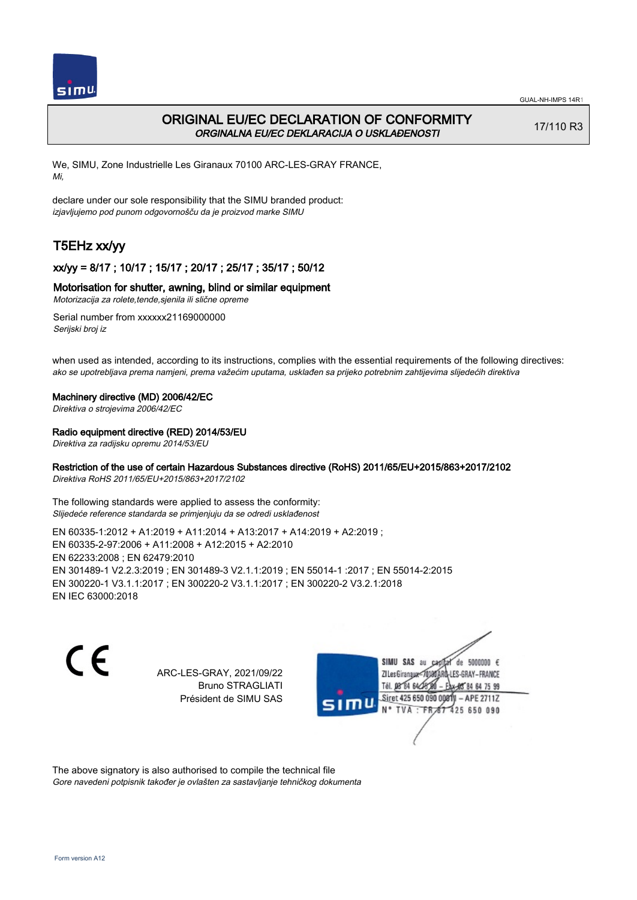

# ORIGINAL EU/EC DECLARATION OF CONFORMITY ORGINALNA EU/EC DEKLARACIJA O USKLAĐENOSTI

17/110 R3

We, SIMU, Zone Industrielle Les Giranaux 70100 ARC-LES-GRAY FRANCE, Mi,

declare under our sole responsibility that the SIMU branded product: izjavljujemo pod punom odgovornošču da je proizvod marke SIMU

# T5EHz xx/yy

## xx/yy = 8/17 ; 10/17 ; 15/17 ; 20/17 ; 25/17 ; 35/17 ; 50/12

#### Motorisation for shutter, awning, blind or similar equipment

Motorizacija za rolete,tende,sjenila ili slične opreme

Serial number from xxxxxx21169000000 Serijski broj iz

when used as intended, according to its instructions, complies with the essential requirements of the following directives: ako se upotrebljava prema namjeni, prema važećim uputama, usklađen sa prijeko potrebnim zahtijevima slijedećih direktiva

#### Machinery directive (MD) 2006/42/EC

Direktiva o strojevima 2006/42/EC

#### Radio equipment directive (RED) 2014/53/EU

Direktiva za radijsku opremu 2014/53/EU

#### Restriction of the use of certain Hazardous Substances directive (RoHS) 2011/65/EU+2015/863+2017/2102

Direktiva RoHS 2011/65/EU+2015/863+2017/2102

The following standards were applied to assess the conformity: Slijedeće reference standarda se primjenjuju da se odredi usklađenost

EN 60335‑1:2012 + A1:2019 + A11:2014 + A13:2017 + A14:2019 + A2:2019 ; EN 60335‑2‑97:2006 + A11:2008 + A12:2015 + A2:2010 EN 62233:2008 ; EN 62479:2010 EN 301489‑1 V2.2.3:2019 ; EN 301489‑3 V2.1.1:2019 ; EN 55014‑1 :2017 ; EN 55014‑2:2015 EN 300220‑1 V3.1.1:2017 ; EN 300220‑2 V3.1.1:2017 ; EN 300220‑2 V3.2.1:2018 EN IEC 63000:2018

 $\epsilon$ 

ARC-LES-GRAY, 2021/09/22 Bruno STRAGLIATI Président de SIMU SAS



The above signatory is also authorised to compile the technical file Gore navedeni potpisnik također je ovlašten za sastavljanje tehničkog dokumenta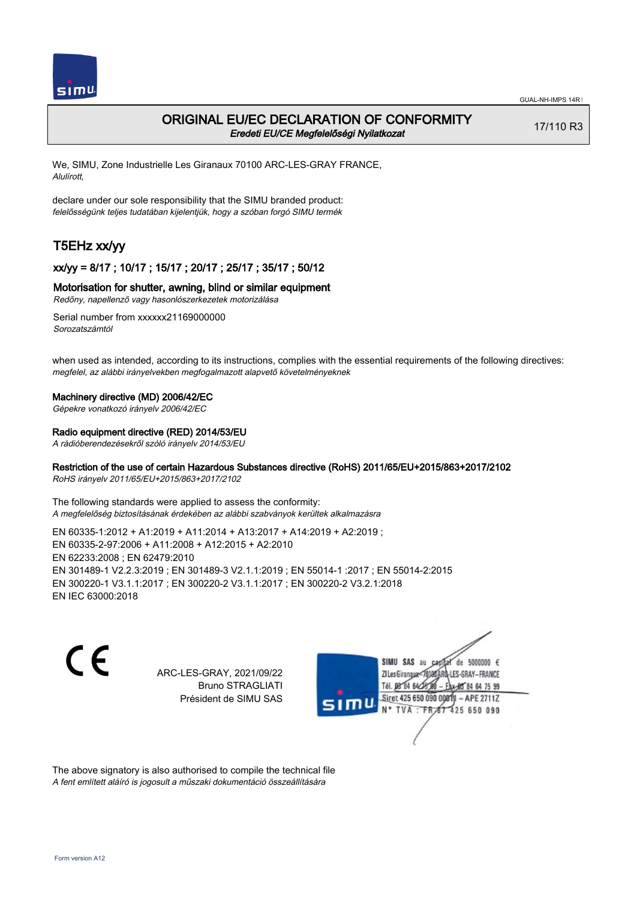

## ORIGINAL EU/EC DECLARATION OF CONFORMITY Eredeti EU/CE Megfelelőségi Nyilatkozat

17/110 R3

We, SIMU, Zone Industrielle Les Giranaux 70100 ARC-LES-GRAY FRANCE, Alulírott,

declare under our sole responsibility that the SIMU branded product: felelősségünk teljes tudatában kijelentjük, hogy a szóban forgó SIMU termék

# T5EHz xx/yy

## xx/yy = 8/17 ; 10/17 ; 15/17 ; 20/17 ; 25/17 ; 35/17 ; 50/12

#### Motorisation for shutter, awning, blind or similar equipment

Redőny, napellenző vagy hasonlószerkezetek motorizálása

Serial number from xxxxxx21169000000 Sorozatszámtól

when used as intended, according to its instructions, complies with the essential requirements of the following directives: megfelel, az alábbi irányelvekben megfogalmazott alapvető követelményeknek

#### Machinery directive (MD) 2006/42/EC

Gépekre vonatkozó irányelv 2006/42/EC

#### Radio equipment directive (RED) 2014/53/EU

A rádióberendezésekről szóló irányelv 2014/53/EU

## Restriction of the use of certain Hazardous Substances directive (RoHS) 2011/65/EU+2015/863+2017/2102

RoHS irányelv 2011/65/EU+2015/863+2017/2102

The following standards were applied to assess the conformity: A megfelelőség biztosításának érdekében az alábbi szabványok kerültek alkalmazásra

EN 60335‑1:2012 + A1:2019 + A11:2014 + A13:2017 + A14:2019 + A2:2019 ; EN 60335‑2‑97:2006 + A11:2008 + A12:2015 + A2:2010 EN 62233:2008 ; EN 62479:2010 EN 301489‑1 V2.2.3:2019 ; EN 301489‑3 V2.1.1:2019 ; EN 55014‑1 :2017 ; EN 55014‑2:2015 EN 300220‑1 V3.1.1:2017 ; EN 300220‑2 V3.1.1:2017 ; EN 300220‑2 V3.2.1:2018 EN IEC 63000:2018

C F

ARC-LES-GRAY, 2021/09/22 Bruno STRAGLIATI Président de SIMU SAS



The above signatory is also authorised to compile the technical file A fent említett aláíró is jogosult a műszaki dokumentáció összeállítására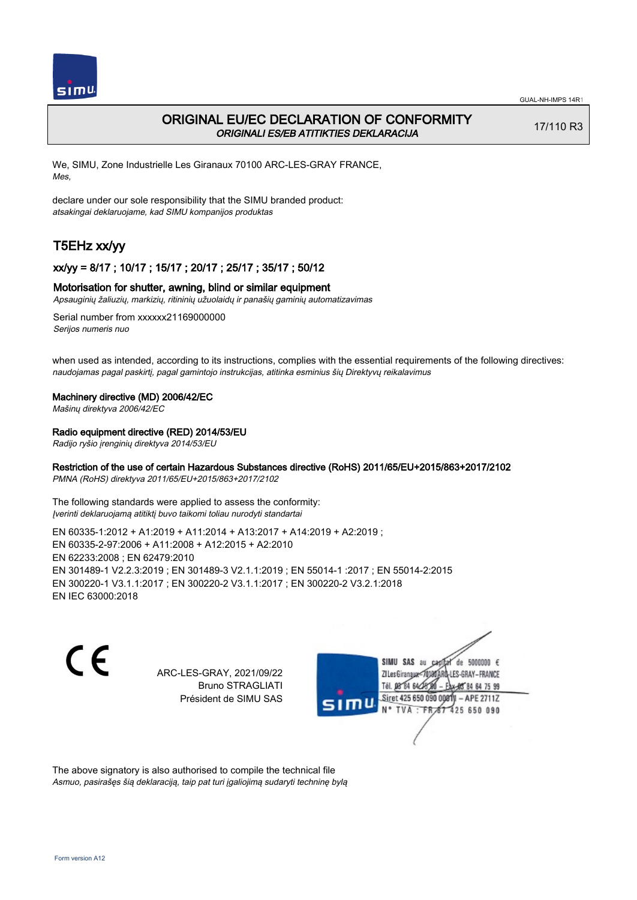

# ORIGINAL EU/EC DECLARATION OF CONFORMITY ORIGINALI ES/EB ATITIKTIES DEKLARACIJA

17/110 R3

We, SIMU, Zone Industrielle Les Giranaux 70100 ARC-LES-GRAY FRANCE, Mes,

declare under our sole responsibility that the SIMU branded product: atsakingai deklaruojame, kad SIMU kompanijos produktas

# T5EHz xx/yy

### xx/yy = 8/17 ; 10/17 ; 15/17 ; 20/17 ; 25/17 ; 35/17 ; 50/12

#### Motorisation for shutter, awning, blind or similar equipment

Apsauginių žaliuzių, markizių, ritininių užuolaidų ir panašių gaminių automatizavimas

Serial number from xxxxxx21169000000 Serijos numeris nuo

when used as intended, according to its instructions, complies with the essential requirements of the following directives: naudojamas pagal paskirtį, pagal gamintojo instrukcijas, atitinka esminius šių Direktyvų reikalavimus

#### Machinery directive (MD) 2006/42/EC

Mašinų direktyva 2006/42/EC

#### Radio equipment directive (RED) 2014/53/EU

Radijo ryšio įrenginių direktyva 2014/53/EU

## Restriction of the use of certain Hazardous Substances directive (RoHS) 2011/65/EU+2015/863+2017/2102

PMNA (RoHS) direktyva 2011/65/EU+2015/863+2017/2102

The following standards were applied to assess the conformity: Įverinti deklaruojamą atitiktį buvo taikomi toliau nurodyti standartai

EN 60335‑1:2012 + A1:2019 + A11:2014 + A13:2017 + A14:2019 + A2:2019 ; EN 60335‑2‑97:2006 + A11:2008 + A12:2015 + A2:2010 EN 62233:2008 ; EN 62479:2010 EN 301489‑1 V2.2.3:2019 ; EN 301489‑3 V2.1.1:2019 ; EN 55014‑1 :2017 ; EN 55014‑2:2015 EN 300220‑1 V3.1.1:2017 ; EN 300220‑2 V3.1.1:2017 ; EN 300220‑2 V3.2.1:2018 EN IEC 63000:2018

C F

ARC-LES-GRAY, 2021/09/22 Bruno STRAGLIATI Président de SIMU SAS



The above signatory is also authorised to compile the technical file Asmuo, pasirašęs šią deklaraciją, taip pat turi įgaliojimą sudaryti techninę bylą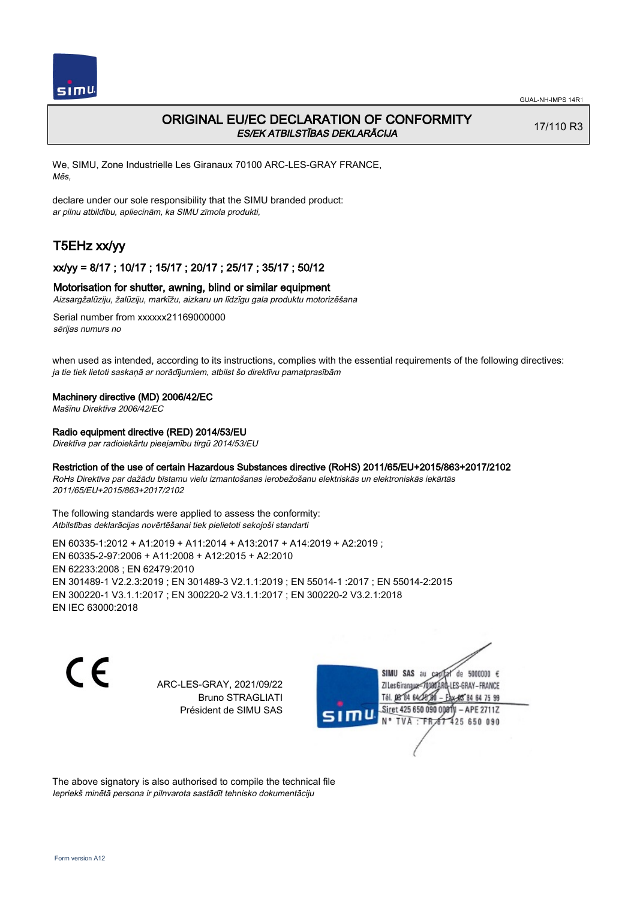

# ORIGINAL EU/EC DECLARATION OF CONFORMITY ES/EK ATBILSTĪBAS DEKLARĀCIJA

17/110 R3

We, SIMU, Zone Industrielle Les Giranaux 70100 ARC-LES-GRAY FRANCE, Mēs,

declare under our sole responsibility that the SIMU branded product: ar pilnu atbildību, apliecinām, ka SIMU zīmola produkti,

# T5EHz xx/yy

### xx/yy = 8/17 ; 10/17 ; 15/17 ; 20/17 ; 25/17 ; 35/17 ; 50/12

#### Motorisation for shutter, awning, blind or similar equipment

Aizsargžalūziju, žalūziju, markīžu, aizkaru un līdzīgu gala produktu motorizēšana

Serial number from xxxxxx21169000000 sērijas numurs no

when used as intended, according to its instructions, complies with the essential requirements of the following directives: ja tie tiek lietoti saskaņā ar norādījumiem, atbilst šo direktīvu pamatprasībām

#### Machinery directive (MD) 2006/42/EC

Mašīnu Direktīva 2006/42/EC

#### Radio equipment directive (RED) 2014/53/EU

Direktīva par radioiekārtu pieejamību tirgū 2014/53/EU

#### Restriction of the use of certain Hazardous Substances directive (RoHS) 2011/65/EU+2015/863+2017/2102

RoHs Direktīva par dažādu bīstamu vielu izmantošanas ierobežošanu elektriskās un elektroniskās iekārtās 2011/65/EU+2015/863+2017/2102

The following standards were applied to assess the conformity: Atbilstības deklarācijas novērtēšanai tiek pielietoti sekojoši standarti

EN 60335‑1:2012 + A1:2019 + A11:2014 + A13:2017 + A14:2019 + A2:2019 ; EN 60335‑2‑97:2006 + A11:2008 + A12:2015 + A2:2010 EN 62233:2008 ; EN 62479:2010 EN 301489‑1 V2.2.3:2019 ; EN 301489‑3 V2.1.1:2019 ; EN 55014‑1 :2017 ; EN 55014‑2:2015 EN 300220‑1 V3.1.1:2017 ; EN 300220‑2 V3.1.1:2017 ; EN 300220‑2 V3.2.1:2018 EN IEC 63000:2018

C E

ARC-LES-GRAY, 2021/09/22 Bruno STRAGLIATI Président de SIMU SAS

SIMU SAS au de 5000000  $\epsilon$ ZI Les Giranaux</r0180 LES-GRAY-FRANCE Tél. 08 84 64 28 64 75 99 Siret 425 650 090 008TV - APE 2711Z  $TVA : FRAT$ 425 650 090

The above signatory is also authorised to compile the technical file Iepriekš minētā persona ir pilnvarota sastādīt tehnisko dokumentāciju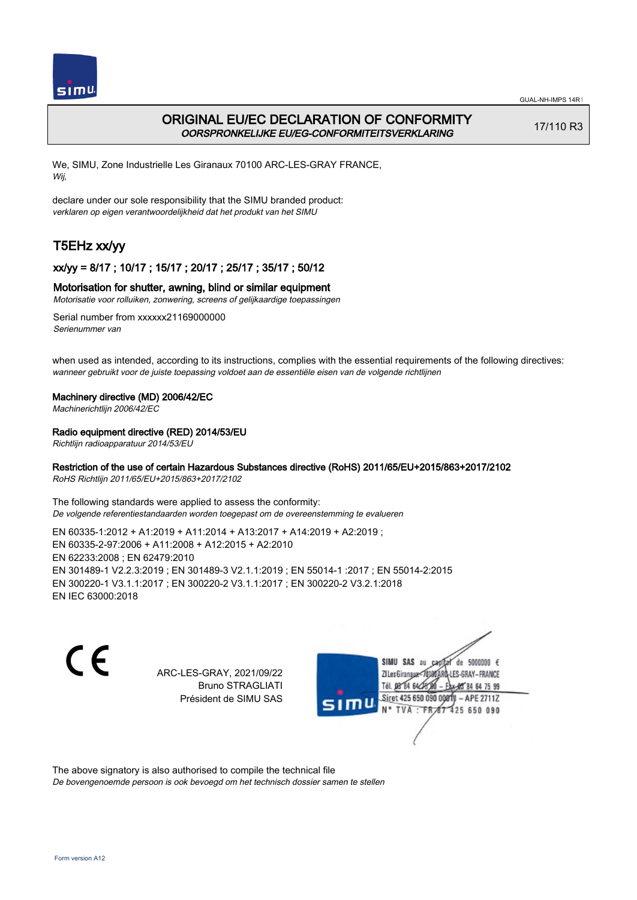

# ORIGINAL EU/EC DECLARATION OF CONFORMITY OORSPRONKELIJKE EU/EG-CONFORMITEITSVERKLARING

17/110 R3

We, SIMU, Zone Industrielle Les Giranaux 70100 ARC-LES-GRAY FRANCE, Wij,

declare under our sole responsibility that the SIMU branded product: verklaren op eigen verantwoordelijkheid dat het produkt van het SIMU

# T5EHz xx/yy

## xx/yy = 8/17 ; 10/17 ; 15/17 ; 20/17 ; 25/17 ; 35/17 ; 50/12

### Motorisation for shutter, awning, blind or similar equipment

Motorisatie voor rolluiken, zonwering, screens of gelijkaardige toepassingen

Serial number from xxxxxx21169000000 Serienummer van

when used as intended, according to its instructions, complies with the essential requirements of the following directives: wanneer gebruikt voor de juiste toepassing voldoet aan de essentiële eisen van de volgende richtlijnen

### Machinery directive (MD) 2006/42/EC

Machinerichtlijn 2006/42/EC

### Radio equipment directive (RED) 2014/53/EU

Richtlijn radioapparatuur 2014/53/EU

### Restriction of the use of certain Hazardous Substances directive (RoHS) 2011/65/EU+2015/863+2017/2102

RoHS Richtlijn 2011/65/EU+2015/863+2017/2102

The following standards were applied to assess the conformity: De volgende referentiestandaarden worden toegepast om de overeenstemming te evalueren

EN 60335‑1:2012 + A1:2019 + A11:2014 + A13:2017 + A14:2019 + A2:2019 ; EN 60335‑2‑97:2006 + A11:2008 + A12:2015 + A2:2010 EN 62233:2008 ; EN 62479:2010 EN 301489‑1 V2.2.3:2019 ; EN 301489‑3 V2.1.1:2019 ; EN 55014‑1 :2017 ; EN 55014‑2:2015 EN 300220‑1 V3.1.1:2017 ; EN 300220‑2 V3.1.1:2017 ; EN 300220‑2 V3.2.1:2018 EN IEC 63000:2018

 $\epsilon$ 

ARC-LES-GRAY, 2021/09/22 Bruno STRAGLIATI Président de SIMU SAS



The above signatory is also authorised to compile the technical file

De bovengenoemde persoon is ook bevoegd om het technisch dossier samen te stellen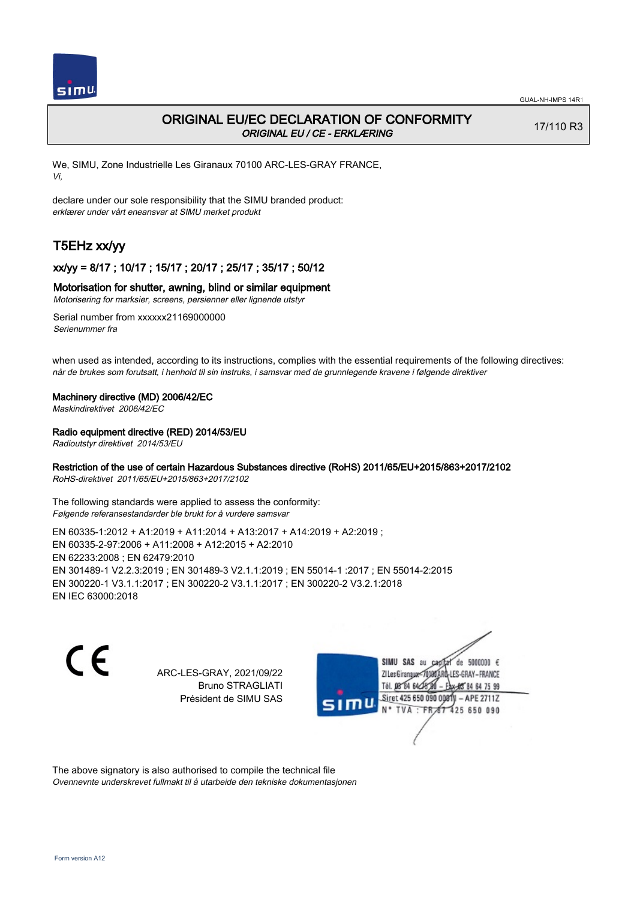

# ORIGINAL EU/EC DECLARATION OF CONFORMITY ORIGINAL EU / CE - ERKLÆRING

17/110 R3

We, SIMU, Zone Industrielle Les Giranaux 70100 ARC-LES-GRAY FRANCE, Vi,

declare under our sole responsibility that the SIMU branded product: erklærer under vårt eneansvar at SIMU merket produkt

# T5EHz xx/yy

## xx/yy = 8/17 ; 10/17 ; 15/17 ; 20/17 ; 25/17 ; 35/17 ; 50/12

#### Motorisation for shutter, awning, blind or similar equipment

Motorisering for marksier, screens, persienner eller lignende utstyr

Serial number from xxxxxx21169000000 Serienummer fra

when used as intended, according to its instructions, complies with the essential requirements of the following directives: når de brukes som forutsatt, i henhold til sin instruks, i samsvar med de grunnlegende kravene i følgende direktiver

#### Machinery directive (MD) 2006/42/EC

Maskindirektivet 2006/42/EC

#### Radio equipment directive (RED) 2014/53/EU

Radioutstyr direktivet 2014/53/EU

## Restriction of the use of certain Hazardous Substances directive (RoHS) 2011/65/EU+2015/863+2017/2102

RoHS-direktivet 2011/65/EU+2015/863+2017/2102

The following standards were applied to assess the conformity: Følgende referansestandarder ble brukt for å vurdere samsvar

EN 60335‑1:2012 + A1:2019 + A11:2014 + A13:2017 + A14:2019 + A2:2019 ; EN 60335‑2‑97:2006 + A11:2008 + A12:2015 + A2:2010 EN 62233:2008 ; EN 62479:2010 EN 301489‑1 V2.2.3:2019 ; EN 301489‑3 V2.1.1:2019 ; EN 55014‑1 :2017 ; EN 55014‑2:2015 EN 300220‑1 V3.1.1:2017 ; EN 300220‑2 V3.1.1:2017 ; EN 300220‑2 V3.2.1:2018 EN IEC 63000:2018

 $\epsilon$ 

ARC-LES-GRAY, 2021/09/22 Bruno STRAGLIATI Président de SIMU SAS



The above signatory is also authorised to compile the technical file Ovennevnte underskrevet fullmakt til å utarbeide den tekniske dokumentasjonen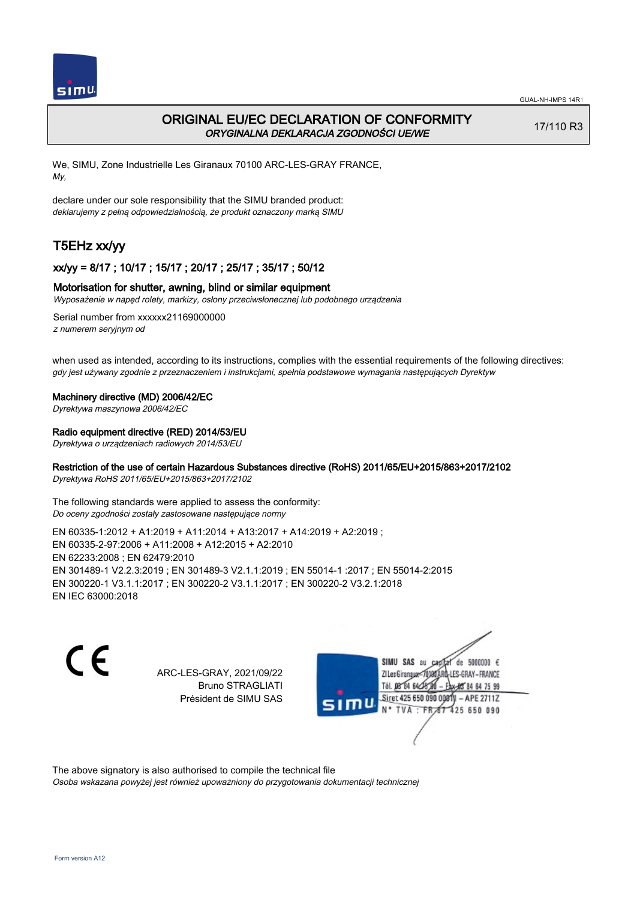

# ORIGINAL EU/EC DECLARATION OF CONFORMITY ORYGINALNA DEKLARACJA ZGODNOŚCI UE/WE

17/110 R3

We, SIMU, Zone Industrielle Les Giranaux 70100 ARC-LES-GRAY FRANCE, My,

declare under our sole responsibility that the SIMU branded product: deklarujemy z pełną odpowiedzialnością, że produkt oznaczony marką SIMU

# T5EHz xx/yy

## xx/yy = 8/17 ; 10/17 ; 15/17 ; 20/17 ; 25/17 ; 35/17 ; 50/12

#### Motorisation for shutter, awning, blind or similar equipment

Wyposażenie w napęd rolety, markizy, osłony przeciwsłonecznej lub podobnego urządzenia

Serial number from xxxxxx21169000000 z numerem seryjnym od

when used as intended, according to its instructions, complies with the essential requirements of the following directives: gdy jest używany zgodnie z przeznaczeniem i instrukcjami, spełnia podstawowe wymagania następujących Dyrektyw

#### Machinery directive (MD) 2006/42/EC

Dyrektywa maszynowa 2006/42/EC

#### Radio equipment directive (RED) 2014/53/EU

Dyrektywa o urządzeniach radiowych 2014/53/EU

#### Restriction of the use of certain Hazardous Substances directive (RoHS) 2011/65/EU+2015/863+2017/2102

Dyrektywa RoHS 2011/65/EU+2015/863+2017/2102

The following standards were applied to assess the conformity: Do oceny zgodności zostały zastosowane następujące normy

EN 60335‑1:2012 + A1:2019 + A11:2014 + A13:2017 + A14:2019 + A2:2019 ; EN 60335‑2‑97:2006 + A11:2008 + A12:2015 + A2:2010 EN 62233:2008 ; EN 62479:2010 EN 301489‑1 V2.2.3:2019 ; EN 301489‑3 V2.1.1:2019 ; EN 55014‑1 :2017 ; EN 55014‑2:2015 EN 300220‑1 V3.1.1:2017 ; EN 300220‑2 V3.1.1:2017 ; EN 300220‑2 V3.2.1:2018 EN IEC 63000:2018

C F

ARC-LES-GRAY, 2021/09/22 Bruno STRAGLIATI Président de SIMU SAS



The above signatory is also authorised to compile the technical file

Osoba wskazana powyżej jest również upoważniony do przygotowania dokumentacji technicznej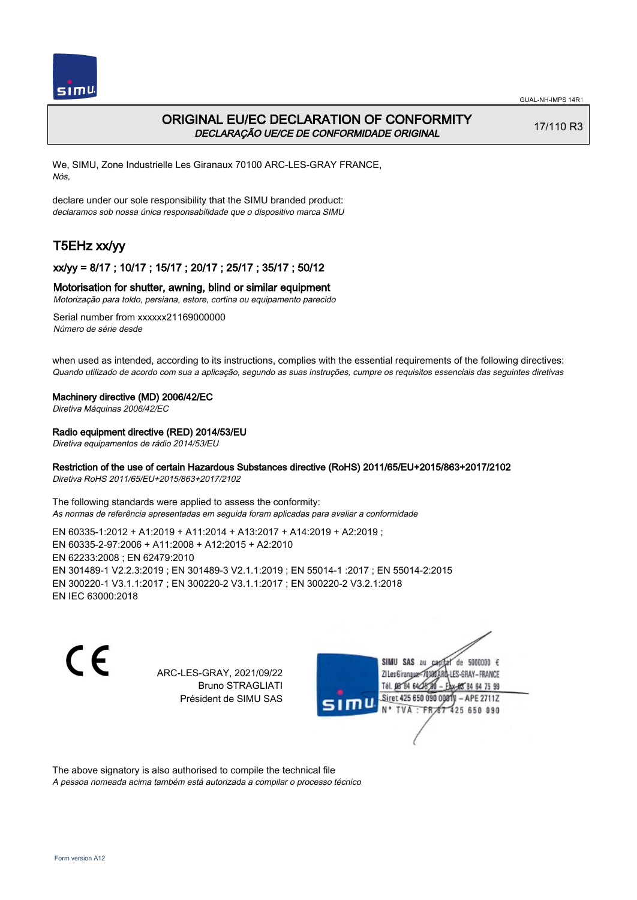

# ORIGINAL EU/EC DECLARATION OF CONFORMITY DECLARAÇÃO UE/CE DE CONFORMIDADE ORIGINAL

17/110 R3

We, SIMU, Zone Industrielle Les Giranaux 70100 ARC-LES-GRAY FRANCE, Nós,

declare under our sole responsibility that the SIMU branded product: declaramos sob nossa única responsabilidade que o dispositivo marca SIMU

# T5EHz xx/yy

## xx/yy = 8/17 ; 10/17 ; 15/17 ; 20/17 ; 25/17 ; 35/17 ; 50/12

#### Motorisation for shutter, awning, blind or similar equipment

Motorização para toldo, persiana, estore, cortina ou equipamento parecido

Serial number from xxxxxx21169000000 Número de série desde

when used as intended, according to its instructions, complies with the essential requirements of the following directives: Quando utilizado de acordo com sua a aplicação, segundo as suas instruções, cumpre os requisitos essenciais das seguintes diretivas

#### Machinery directive (MD) 2006/42/EC

Diretiva Máquinas 2006/42/EC

#### Radio equipment directive (RED) 2014/53/EU

Diretiva equipamentos de rádio 2014/53/EU

### Restriction of the use of certain Hazardous Substances directive (RoHS) 2011/65/EU+2015/863+2017/2102

Diretiva RoHS 2011/65/EU+2015/863+2017/2102

The following standards were applied to assess the conformity: As normas de referência apresentadas em seguida foram aplicadas para avaliar a conformidade

EN 60335‑1:2012 + A1:2019 + A11:2014 + A13:2017 + A14:2019 + A2:2019 ; EN 60335‑2‑97:2006 + A11:2008 + A12:2015 + A2:2010 EN 62233:2008 ; EN 62479:2010 EN 301489‑1 V2.2.3:2019 ; EN 301489‑3 V2.1.1:2019 ; EN 55014‑1 :2017 ; EN 55014‑2:2015 EN 300220‑1 V3.1.1:2017 ; EN 300220‑2 V3.1.1:2017 ; EN 300220‑2 V3.2.1:2018 EN IEC 63000:2018

 $\epsilon$ 

ARC-LES-GRAY, 2021/09/22 Bruno STRAGLIATI Président de SIMU SAS



The above signatory is also authorised to compile the technical file

A pessoa nomeada acima também está autorizada a compilar o processo técnico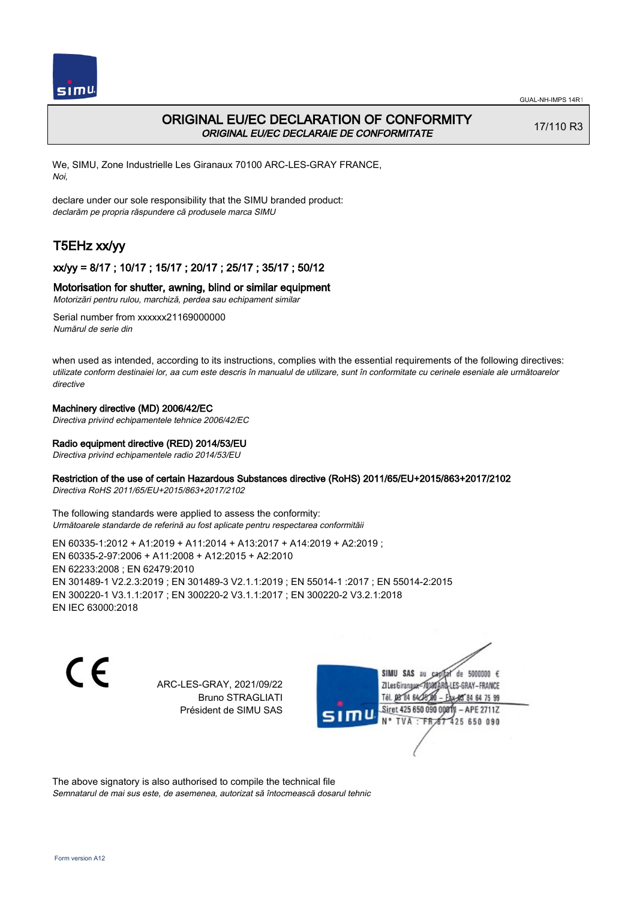

# ORIGINAL EU/EC DECLARATION OF CONFORMITY ORIGINAL EU/EC DECLARAIE DE CONFORMITATE

17/110 R3

We, SIMU, Zone Industrielle Les Giranaux 70100 ARC-LES-GRAY FRANCE, Noi,

declare under our sole responsibility that the SIMU branded product: declarăm pe propria răspundere că produsele marca SIMU

# T5EHz xx/yy

## xx/yy = 8/17 ; 10/17 ; 15/17 ; 20/17 ; 25/17 ; 35/17 ; 50/12

#### Motorisation for shutter, awning, blind or similar equipment

Motorizări pentru rulou, marchiză, perdea sau echipament similar

Serial number from xxxxxx21169000000 Numărul de serie din

when used as intended, according to its instructions, complies with the essential requirements of the following directives: utilizate conform destinaiei lor, aa cum este descris în manualul de utilizare, sunt în conformitate cu cerinele eseniale ale următoarelor directive

#### Machinery directive (MD) 2006/42/EC

Directiva privind echipamentele tehnice 2006/42/EC

#### Radio equipment directive (RED) 2014/53/EU

Directiva privind echipamentele radio 2014/53/EU

### Restriction of the use of certain Hazardous Substances directive (RoHS) 2011/65/EU+2015/863+2017/2102

Directiva RoHS 2011/65/EU+2015/863+2017/2102

The following standards were applied to assess the conformity: Următoarele standarde de referină au fost aplicate pentru respectarea conformităii

EN 60335‑1:2012 + A1:2019 + A11:2014 + A13:2017 + A14:2019 + A2:2019 ; EN 60335‑2‑97:2006 + A11:2008 + A12:2015 + A2:2010 EN 62233:2008 ; EN 62479:2010 EN 301489‑1 V2.2.3:2019 ; EN 301489‑3 V2.1.1:2019 ; EN 55014‑1 :2017 ; EN 55014‑2:2015 EN 300220‑1 V3.1.1:2017 ; EN 300220‑2 V3.1.1:2017 ; EN 300220‑2 V3.2.1:2018 EN IEC 63000:2018

C E

ARC-LES-GRAY, 2021/09/22 Bruno STRAGLIATI Président de SIMU SAS

SIMU SAS au de 5000000  $\epsilon$ ZI Les Giranaux-70180 LES-GRAY-FRANCE Tél. 08 84 64 24 64 75 99 Siret 425 650 090 0081) - APE 2711Z 425 650 090 TVA: FR

The above signatory is also authorised to compile the technical file Semnatarul de mai sus este, de asemenea, autorizat să întocmească dosarul tehnic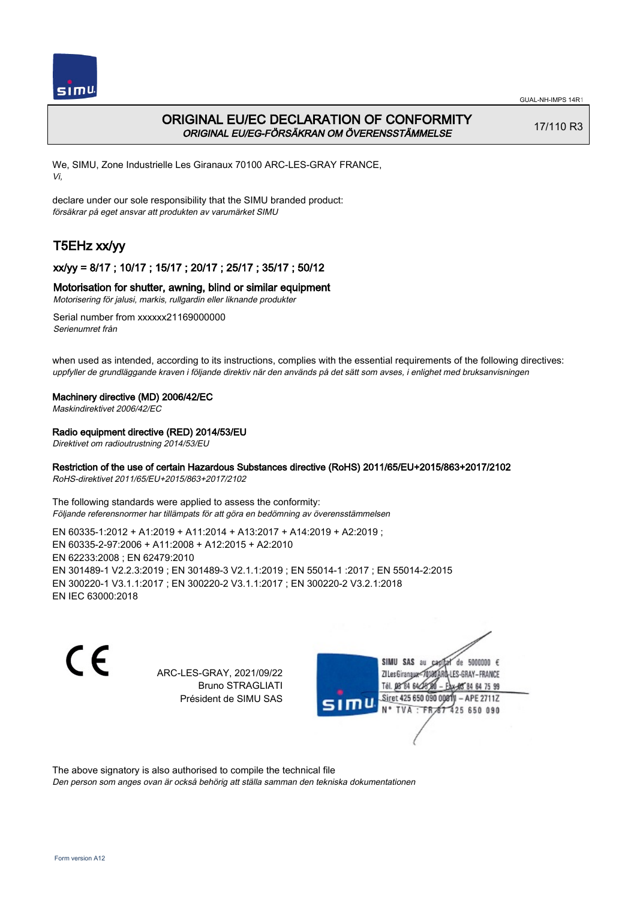

# ORIGINAL EU/EC DECLARATION OF CONFORMITY ORIGINAL EU/EG-FÖRSÄKRAN OM ÖVERENSSTÄMMELSE

17/110 R3

We, SIMU, Zone Industrielle Les Giranaux 70100 ARC-LES-GRAY FRANCE, Vi,

declare under our sole responsibility that the SIMU branded product: försäkrar på eget ansvar att produkten av varumärket SIMU

# T5EHz xx/yy

## xx/yy = 8/17 ; 10/17 ; 15/17 ; 20/17 ; 25/17 ; 35/17 ; 50/12

## Motorisation for shutter, awning, blind or similar equipment

Motorisering för jalusi, markis, rullgardin eller liknande produkter

Serial number from xxxxxx21169000000 Serienumret från

when used as intended, according to its instructions, complies with the essential requirements of the following directives: uppfyller de grundläggande kraven i följande direktiv när den används på det sätt som avses, i enlighet med bruksanvisningen

### Machinery directive (MD) 2006/42/EC

Maskindirektivet 2006/42/EC

### Radio equipment directive (RED) 2014/53/EU

Direktivet om radioutrustning 2014/53/EU

## Restriction of the use of certain Hazardous Substances directive (RoHS) 2011/65/EU+2015/863+2017/2102

RoHS-direktivet 2011/65/EU+2015/863+2017/2102

The following standards were applied to assess the conformity: Följande referensnormer har tillämpats för att göra en bedömning av överensstämmelsen

EN 60335‑1:2012 + A1:2019 + A11:2014 + A13:2017 + A14:2019 + A2:2019 ; EN 60335‑2‑97:2006 + A11:2008 + A12:2015 + A2:2010 EN 62233:2008 ; EN 62479:2010 EN 301489‑1 V2.2.3:2019 ; EN 301489‑3 V2.1.1:2019 ; EN 55014‑1 :2017 ; EN 55014‑2:2015 EN 300220‑1 V3.1.1:2017 ; EN 300220‑2 V3.1.1:2017 ; EN 300220‑2 V3.2.1:2018 EN IEC 63000:2018

 $\epsilon$ 

ARC-LES-GRAY, 2021/09/22 Bruno STRAGLIATI Président de SIMU SAS



The above signatory is also authorised to compile the technical file

Den person som anges ovan är också behörig att ställa samman den tekniska dokumentationen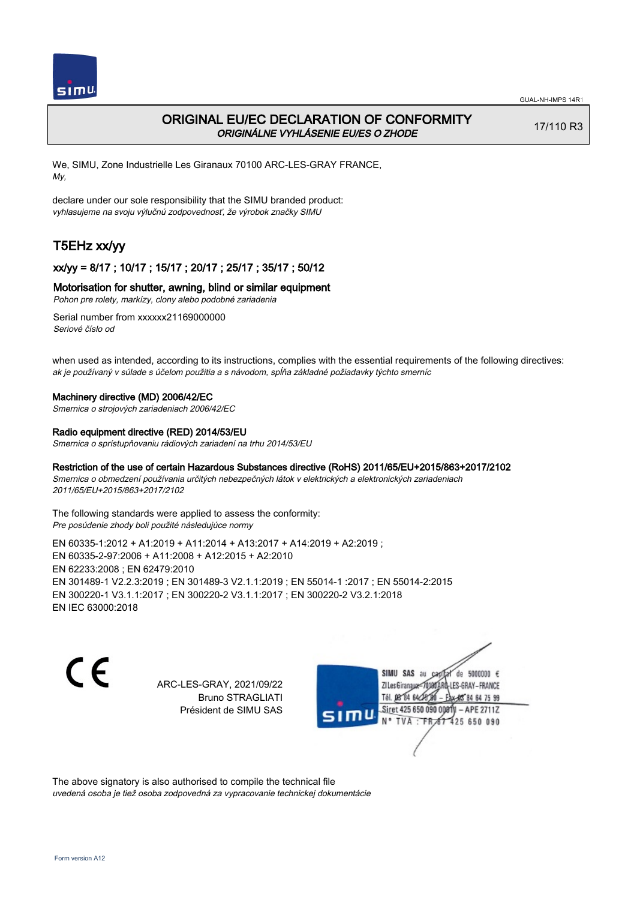

# ORIGINAL EU/EC DECLARATION OF CONFORMITY ORIGINÁLNE VYHLÁSENIE EU/ES O ZHODE

17/110 R3

We, SIMU, Zone Industrielle Les Giranaux 70100 ARC-LES-GRAY FRANCE, My,

declare under our sole responsibility that the SIMU branded product: vyhlasujeme na svoju výlučnú zodpovednosť, že výrobok značky SIMU

# T5EHz xx/yy

## xx/yy = 8/17 ; 10/17 ; 15/17 ; 20/17 ; 25/17 ; 35/17 ; 50/12

#### Motorisation for shutter, awning, blind or similar equipment

Pohon pre rolety, markízy, clony alebo podobné zariadenia

Serial number from xxxxxx21169000000 Seriové číslo od

when used as intended, according to its instructions, complies with the essential requirements of the following directives: ak je používaný v súlade s účelom použitia a s návodom, spĺňa základné požiadavky týchto smerníc

#### Machinery directive (MD) 2006/42/EC

Smernica o strojových zariadeniach 2006/42/EC

#### Radio equipment directive (RED) 2014/53/EU

Smernica o sprístupňovaniu rádiových zariadení na trhu 2014/53/EU

#### Restriction of the use of certain Hazardous Substances directive (RoHS) 2011/65/EU+2015/863+2017/2102

Smernica o obmedzení používania určitých nebezpečných látok v elektrických a elektronických zariadeniach 2011/65/EU+2015/863+2017/2102

The following standards were applied to assess the conformity: Pre posúdenie zhody boli použité následujúce normy

EN 60335‑1:2012 + A1:2019 + A11:2014 + A13:2017 + A14:2019 + A2:2019 ; EN 60335‑2‑97:2006 + A11:2008 + A12:2015 + A2:2010 EN 62233:2008 ; EN 62479:2010 EN 301489‑1 V2.2.3:2019 ; EN 301489‑3 V2.1.1:2019 ; EN 55014‑1 :2017 ; EN 55014‑2:2015 EN 300220‑1 V3.1.1:2017 ; EN 300220‑2 V3.1.1:2017 ; EN 300220‑2 V3.2.1:2018 EN IEC 63000:2018

C E

ARC-LES-GRAY, 2021/09/22 Bruno STRAGLIATI Président de SIMU SAS

SIMU SAS au de 5000000  $\epsilon$ ZI Les Giranaux</r0180 LES-GRAY-FRANCE Tél. 08 84 64 24 64 75 99 Siret 425 650 090 008TV - APE 2711Z 425 650 090 TVA : FRAT

The above signatory is also authorised to compile the technical file uvedená osoba je tiež osoba zodpovedná za vypracovanie technickej dokumentácie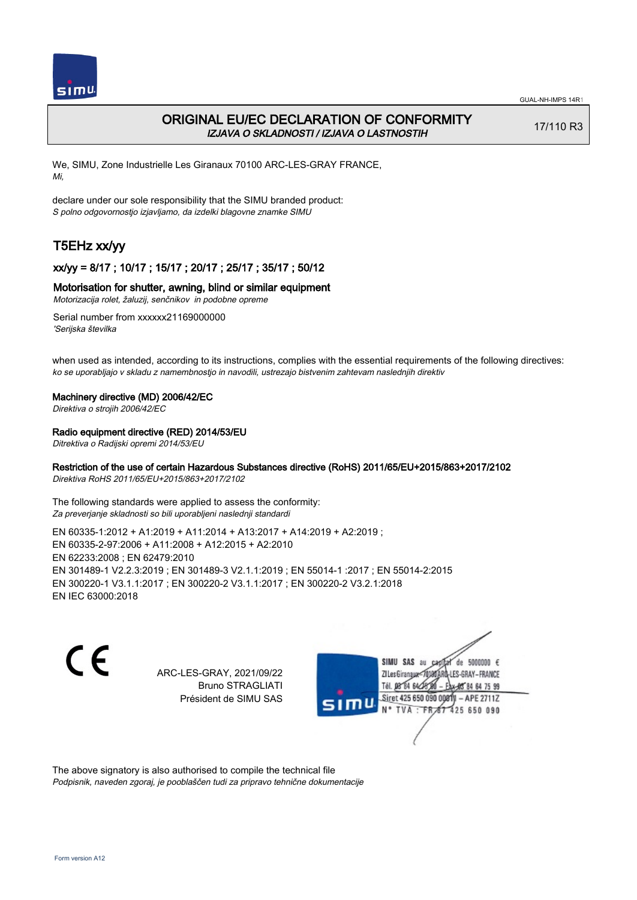

# ORIGINAL EU/EC DECLARATION OF CONFORMITY IZJAVA O SKLADNOSTI / IZJAVA O LASTNOSTIH

17/110 R3

We, SIMU, Zone Industrielle Les Giranaux 70100 ARC-LES-GRAY FRANCE, Mi,

declare under our sole responsibility that the SIMU branded product: S polno odgovornostjo izjavljamo, da izdelki blagovne znamke SIMU

# T5EHz xx/yy

## xx/yy = 8/17 ; 10/17 ; 15/17 ; 20/17 ; 25/17 ; 35/17 ; 50/12

#### Motorisation for shutter, awning, blind or similar equipment

Motorizacija rolet, žaluzij, senčnikov in podobne opreme

Serial number from xxxxxx21169000000 'Serijska številka

when used as intended, according to its instructions, complies with the essential requirements of the following directives: ko se uporabljajo v skladu z namembnostjo in navodili, ustrezajo bistvenim zahtevam naslednjih direktiv

#### Machinery directive (MD) 2006/42/EC

Direktiva o strojih 2006/42/EC

#### Radio equipment directive (RED) 2014/53/EU

Ditrektiva o Radijski opremi 2014/53/EU

## Restriction of the use of certain Hazardous Substances directive (RoHS) 2011/65/EU+2015/863+2017/2102

Direktiva RoHS 2011/65/EU+2015/863+2017/2102

The following standards were applied to assess the conformity: Za preverjanje skladnosti so bili uporabljeni naslednji standardi

EN 60335‑1:2012 + A1:2019 + A11:2014 + A13:2017 + A14:2019 + A2:2019 ; EN 60335‑2‑97:2006 + A11:2008 + A12:2015 + A2:2010 EN 62233:2008 ; EN 62479:2010 EN 301489‑1 V2.2.3:2019 ; EN 301489‑3 V2.1.1:2019 ; EN 55014‑1 :2017 ; EN 55014‑2:2015 EN 300220‑1 V3.1.1:2017 ; EN 300220‑2 V3.1.1:2017 ; EN 300220‑2 V3.2.1:2018 EN IEC 63000:2018

 $\epsilon$ 

ARC-LES-GRAY, 2021/09/22 Bruno STRAGLIATI Président de SIMU SAS



The above signatory is also authorised to compile the technical file Podpisnik, naveden zgoraj, je pooblaščen tudi za pripravo tehnične dokumentacije